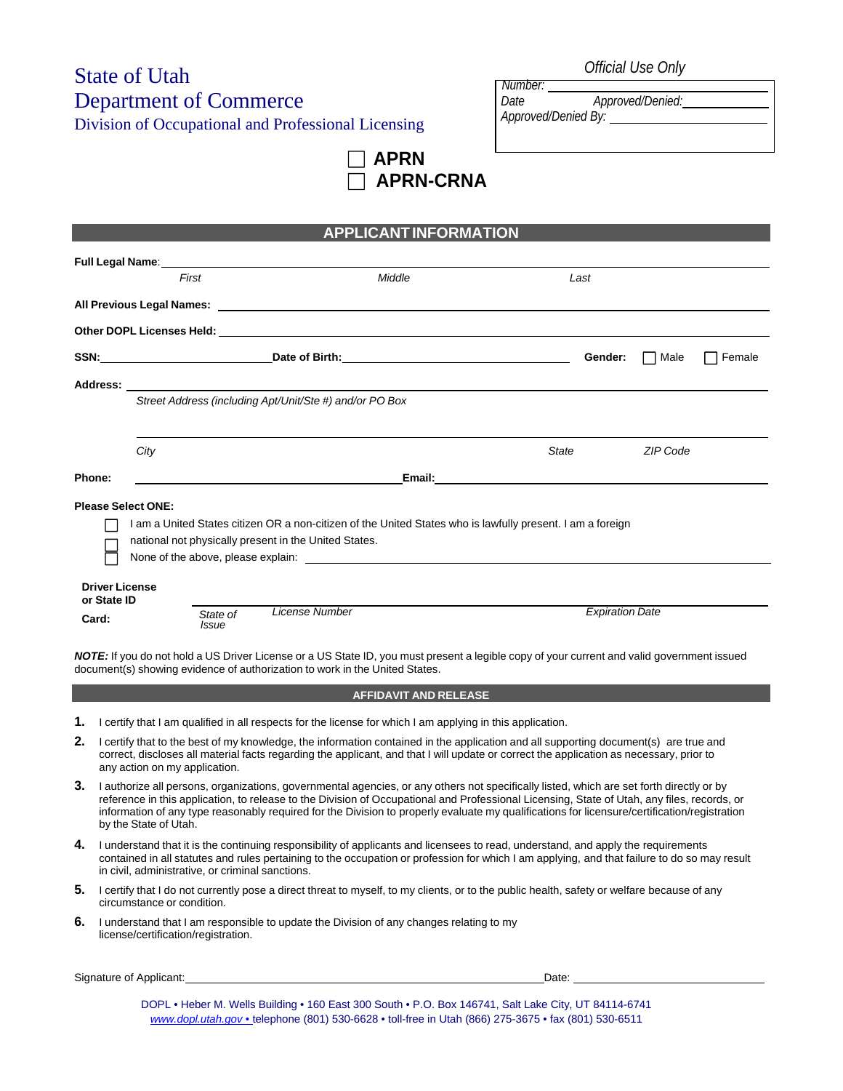# State of Utah Department of Commerce

Division of Occupational and Professional Licensing

*Number: Date Approved/Denied: Approved/Denied By:* 

**APRN APRN-CRNA**

# **APPLICANT INFORMATION**

|                                      |                                                                                                            | Full Legal Name: Manual According to the Contract of the Contract of the Contract of the Contract of the Contract of the Contract of the Contract of the Contract of the Contract of the Contract of the Contract of the Contr |                        |                |  |  |  |
|--------------------------------------|------------------------------------------------------------------------------------------------------------|--------------------------------------------------------------------------------------------------------------------------------------------------------------------------------------------------------------------------------|------------------------|----------------|--|--|--|
|                                      | First                                                                                                      | Middle                                                                                                                                                                                                                         | Last                   |                |  |  |  |
|                                      |                                                                                                            |                                                                                                                                                                                                                                |                        |                |  |  |  |
|                                      |                                                                                                            |                                                                                                                                                                                                                                |                        |                |  |  |  |
|                                      |                                                                                                            |                                                                                                                                                                                                                                | Gender:                | Female<br>Male |  |  |  |
|                                      |                                                                                                            |                                                                                                                                                                                                                                |                        |                |  |  |  |
|                                      | Street Address (including Apt/Unit/Ste #) and/or PO Box                                                    |                                                                                                                                                                                                                                |                        |                |  |  |  |
|                                      |                                                                                                            |                                                                                                                                                                                                                                |                        |                |  |  |  |
|                                      | City                                                                                                       |                                                                                                                                                                                                                                | State                  | ZIP Code       |  |  |  |
| Phone:                               |                                                                                                            |                                                                                                                                                                                                                                |                        |                |  |  |  |
|                                      | <b>Please Select ONE:</b>                                                                                  |                                                                                                                                                                                                                                |                        |                |  |  |  |
|                                      | I am a United States citizen OR a non-citizen of the United States who is lawfully present. I am a foreign |                                                                                                                                                                                                                                |                        |                |  |  |  |
|                                      | national not physically present in the United States.                                                      |                                                                                                                                                                                                                                |                        |                |  |  |  |
|                                      |                                                                                                            |                                                                                                                                                                                                                                |                        |                |  |  |  |
| <b>Driver License</b><br>or State ID |                                                                                                            |                                                                                                                                                                                                                                |                        |                |  |  |  |
| Card:                                | State of<br><b>Issue</b>                                                                                   | License Number                                                                                                                                                                                                                 | <b>Expiration Date</b> |                |  |  |  |

*NOTE:* If you do not hold a US Driver License or a US State ID, you must present a legible copy of your current and valid government issued document(s) showing evidence of authorization to work in the United States.

#### **AFFIDAVIT AND RELEASE**

- **1.** I certify that I am qualified in all respects for the license for which I am applying in this application.
- **2.** I certify that to the best of my knowledge, the information contained in the application and all supporting document(s) are true and correct, discloses all material facts regarding the applicant, and that I will update or correct the application as necessary, prior to any action on my application.
- **3.** I authorize all persons, organizations, governmental agencies, or any others not specifically listed, which are set forth directly or by reference in this application, to release to the Division of Occupational and Professional Licensing, State of Utah, any files, records, or information of any type reasonably required for the Division to properly evaluate my qualifications for licensure/certification/registration by the State of Utah.
- **4.** I understand that it is the continuing responsibility of applicants and licensees to read, understand, and apply the requirements contained in all statutes and rules pertaining to the occupation or profession for which I am applying, and that failure to do so may result in civil, administrative, or criminal sanctions.
- **5.** I certify that I do not currently pose a direct threat to myself, to my clients, or to the public health, safety or welfare because of any circumstance or condition.
- **6.** I understand that I am responsible to update the Division of any changes relating to my license/certification/registration.

Signature of Applicant: Date: Date: Date: Date: Date: Date: Date: Date: Date: Date: Date: Date: Date: Date: Date: Date: Date: Date: Date: Date: Date: Date: Date: Date: Date: Date: Date: Date: Date: Date: Date: Date: Date:

DOPL • Heber M. Wells Building • 160 East 300 South • P.O. Box 146741, Salt Lake City, UT 84114-6741 *www.dopl.utah.gov* • telephone (801) 530-6628 • toll-free in Utah (866) 275-3675 • fax (801) 530-6511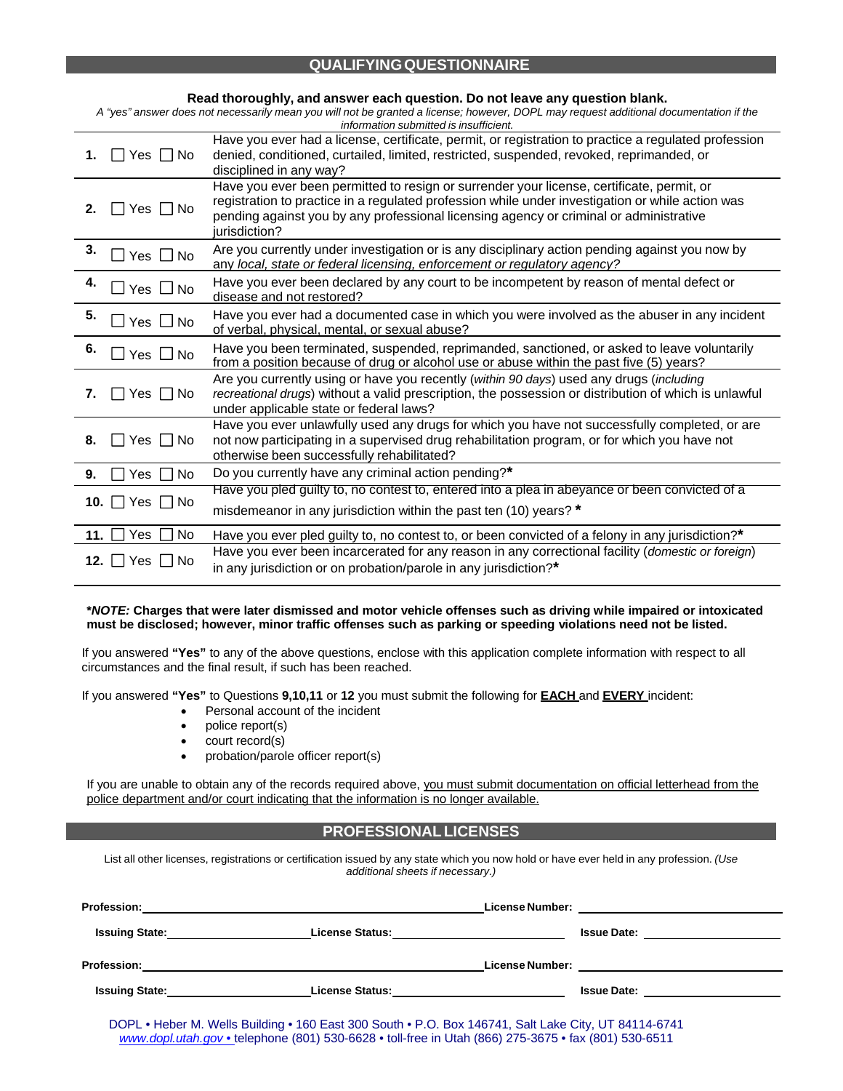# **QUALIFYING QUESTIONNAIRE**

| Read thoroughly, and answer each question. Do not leave any question blank.<br>A "yes" answer does not necessarily mean you will not be granted a license; however, DOPL may request additional documentation if the<br>information submitted is insufficient. |                                                                                                                                                                                                                                                                                                          |  |  |  |
|----------------------------------------------------------------------------------------------------------------------------------------------------------------------------------------------------------------------------------------------------------------|----------------------------------------------------------------------------------------------------------------------------------------------------------------------------------------------------------------------------------------------------------------------------------------------------------|--|--|--|
| □ Yes □ No<br>1.                                                                                                                                                                                                                                               | Have you ever had a license, certificate, permit, or registration to practice a regulated profession<br>denied, conditioned, curtailed, limited, restricted, suspended, revoked, reprimanded, or<br>disciplined in any way?                                                                              |  |  |  |
| 2.<br>Yes I I No                                                                                                                                                                                                                                               | Have you ever been permitted to resign or surrender your license, certificate, permit, or<br>registration to practice in a regulated profession while under investigation or while action was<br>pending against you by any professional licensing agency or criminal or administrative<br>jurisdiction? |  |  |  |
| 3.<br>$\Box$ Yes $\Box$ No                                                                                                                                                                                                                                     | Are you currently under investigation or is any disciplinary action pending against you now by<br>any local, state or federal licensing, enforcement or regulatory agency?                                                                                                                               |  |  |  |
| 4.<br>$\Box$ Yes $\Box$ No                                                                                                                                                                                                                                     | Have you ever been declared by any court to be incompetent by reason of mental defect or<br>disease and not restored?                                                                                                                                                                                    |  |  |  |
| 5.<br>$\Box$ Yes $\Box$ No                                                                                                                                                                                                                                     | Have you ever had a documented case in which you were involved as the abuser in any incident<br>of verbal, physical, mental, or sexual abuse?                                                                                                                                                            |  |  |  |
| 6.<br>$\square$ Yes $\square$ No                                                                                                                                                                                                                               | Have you been terminated, suspended, reprimanded, sanctioned, or asked to leave voluntarily<br>from a position because of drug or alcohol use or abuse within the past five (5) years?                                                                                                                   |  |  |  |
| $\Box$ Yes $\Box$ No<br>7.                                                                                                                                                                                                                                     | Are you currently using or have you recently (within 90 days) used any drugs (including<br>recreational drugs) without a valid prescription, the possession or distribution of which is unlawful<br>under applicable state or federal laws?                                                              |  |  |  |
| □ Yes □ No<br>8.                                                                                                                                                                                                                                               | Have you ever unlawfully used any drugs for which you have not successfully completed, or are<br>not now participating in a supervised drug rehabilitation program, or for which you have not<br>otherwise been successfully rehabilitated?                                                              |  |  |  |
| Yes  <br><b>No</b><br>9.                                                                                                                                                                                                                                       | Do you currently have any criminal action pending?*                                                                                                                                                                                                                                                      |  |  |  |
| 10. 7es D No                                                                                                                                                                                                                                                   | Have you pled guilty to, no contest to, entered into a plea in abeyance or been convicted of a<br>misdemeanor in any jurisdiction within the past ten (10) years? *                                                                                                                                      |  |  |  |
| Yes<br>No<br>11.                                                                                                                                                                                                                                               | Have you ever pled guilty to, no contest to, or been convicted of a felony in any jurisdiction?*                                                                                                                                                                                                         |  |  |  |
| $12.$   $Yes$   $No$                                                                                                                                                                                                                                           | Have you ever been incarcerated for any reason in any correctional facility (domestic or foreign)<br>in any jurisdiction or on probation/parole in any jurisdiction?*                                                                                                                                    |  |  |  |

#### **\****NOTE:* **Charges that were later dismissed and motor vehicle offenses such as driving while impaired or intoxicated must be disclosed; however, minor traffic offenses such as parking or speeding violations need not be listed.**

If you answered **"Yes"** to any of the above questions, enclose with this application complete information with respect to all circumstances and the final result, if such has been reached.

If you answered **"Yes"** to Questions **9,10,11** or **12** you must submit the following for **EACH** and **EVERY** incident:

- Personal account of the incident
- police report(s)
- court record(s)
- probation/parole officer report(s)

If you are unable to obtain any of the records required above, you must submit documentation on official letterhead from the police department and/or court indicating that the information is no longer available.

#### **PROFESSIONAL LICENSES**

List all other licenses, registrations or certification issued by any state which you now hold or have ever held in any profession. *(Use additional sheets if necessary.)*

| <b>Profession:</b>              | <u> 1980 - Andrea Andrew Maria (h. 1980).</u>                                                        |                                                  |  |
|---------------------------------|------------------------------------------------------------------------------------------------------|--------------------------------------------------|--|
| Issuing State: <u>contained</u> | License Status: <u>____________________________</u>                                                  | Issue Date: <u>_____________________</u>         |  |
|                                 |                                                                                                      | License Number: ________________________________ |  |
|                                 | <b>Issuing State:</b> The Company of License Status:                                                 | <b>Issue Date:</b> _______________________       |  |
|                                 | DOPL • Heber M. Wells Building • 160 East 300 South • P.O. Box 146741, Salt Lake City, UT 84114-6741 |                                                  |  |

*www.dopl.utah.gov* • telephone (801) 530-6628 • toll-free in Utah (866) 275-3675 • fax (801) 530-6511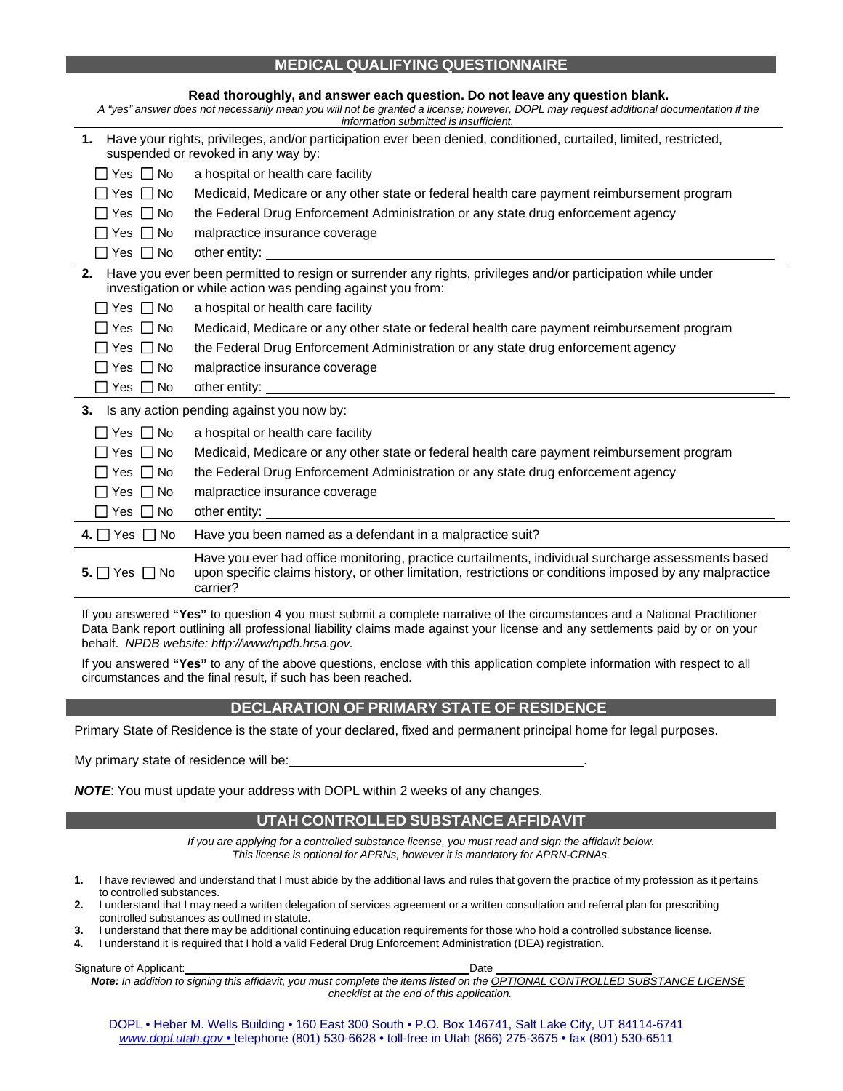## **MEDICAL QUALIFYING QUESTIONNAIRE**

| Read thoroughly, and answer each question. Do not leave any question blank.<br>A "yes" answer does not necessarily mean you will not be granted a license; however, DOPL may request additional documentation if the<br>information submitted is insufficient. |                                                                                                                                                                                                                                      |  |  |  |
|----------------------------------------------------------------------------------------------------------------------------------------------------------------------------------------------------------------------------------------------------------------|--------------------------------------------------------------------------------------------------------------------------------------------------------------------------------------------------------------------------------------|--|--|--|
| 1. Have your rights, privileges, and/or participation ever been denied, conditioned, curtailed, limited, restricted,<br>suspended or revoked in any way by:                                                                                                    |                                                                                                                                                                                                                                      |  |  |  |
| □ Yes □ No                                                                                                                                                                                                                                                     | a hospital or health care facility                                                                                                                                                                                                   |  |  |  |
| □ Yes □ No                                                                                                                                                                                                                                                     | Medicaid, Medicare or any other state or federal health care payment reimbursement program                                                                                                                                           |  |  |  |
| Yes     No                                                                                                                                                                                                                                                     | the Federal Drug Enforcement Administration or any state drug enforcement agency                                                                                                                                                     |  |  |  |
| No No                                                                                                                                                                                                                                                          | malpractice insurance coverage                                                                                                                                                                                                       |  |  |  |
| $\Box$ Yes $\Box$ No                                                                                                                                                                                                                                           |                                                                                                                                                                                                                                      |  |  |  |
|                                                                                                                                                                                                                                                                | 2. Have you ever been permitted to resign or surrender any rights, privileges and/or participation while under<br>investigation or while action was pending against you from:                                                        |  |  |  |
| $\Box$ Yes $\Box$ No                                                                                                                                                                                                                                           | a hospital or health care facility                                                                                                                                                                                                   |  |  |  |
| $\Box$ Yes $\Box$ No                                                                                                                                                                                                                                           | Medicaid, Medicare or any other state or federal health care payment reimbursement program                                                                                                                                           |  |  |  |
| $\Box$ Yes $\Box$ No                                                                                                                                                                                                                                           | the Federal Drug Enforcement Administration or any state drug enforcement agency                                                                                                                                                     |  |  |  |
| □ Yes I No                                                                                                                                                                                                                                                     | malpractice insurance coverage                                                                                                                                                                                                       |  |  |  |
| $\Box$ Yes $\Box$ No                                                                                                                                                                                                                                           |                                                                                                                                                                                                                                      |  |  |  |
| Is any action pending against you now by:<br>3.                                                                                                                                                                                                                |                                                                                                                                                                                                                                      |  |  |  |
| ∏Yes ∏No                                                                                                                                                                                                                                                       | a hospital or health care facility                                                                                                                                                                                                   |  |  |  |
| □ Yes □ No                                                                                                                                                                                                                                                     | Medicaid, Medicare or any other state or federal health care payment reimbursement program                                                                                                                                           |  |  |  |
| $\Box$ Yes $\Box$ No                                                                                                                                                                                                                                           | the Federal Drug Enforcement Administration or any state drug enforcement agency                                                                                                                                                     |  |  |  |
| $\Box$ Yes $\Box$ No                                                                                                                                                                                                                                           | malpractice insurance coverage                                                                                                                                                                                                       |  |  |  |
| $\Box$ Yes $\Box$ No                                                                                                                                                                                                                                           | other entity: <u>example and the set of the set of the set of the set of the set of the set of the set of the set of the set of the set of the set of the set of the set of the set of the set of the set of the set of the set </u> |  |  |  |
| 4. $\Box$ Yes $\Box$ No                                                                                                                                                                                                                                        | Have you been named as a defendant in a malpractice suit?                                                                                                                                                                            |  |  |  |
| 5. $\Box$ Yes $\Box$ No                                                                                                                                                                                                                                        | Have you ever had office monitoring, practice curtailments, individual surcharge assessments based<br>upon specific claims history, or other limitation, restrictions or conditions imposed by any malpractice<br>carrier?           |  |  |  |

If you answered **"Yes"** to question 4 you must submit a complete narrative of the circumstances and a National Practitioner Data Bank report outlining all professional liability claims made against your license and any settlements paid by or on your behalf. *NPDB website: http://www/npdb.hrsa.gov.*

If you answered **"Yes"** to any of the above questions, enclose with this application complete information with respect to all circumstances and the final result, if such has been reached.

# **DECLARATION OF PRIMARY STATE OF RESIDENCE**

Primary State of Residence is the state of your declared, fixed and permanent principal home for legal purposes.

My primary state of residence will be:

*NOTE*: You must update your address with DOPL within 2 weeks of any changes.

#### **UTAH CONTROLLED SUBSTANCE AFFIDAVIT**

*If you are applying for a controlled substance license, you must read and sign the affidavit below. This license is optional for APRNs, however it is mandatory for APRN-CRNAs.*

- **1.** I have reviewed and understand that I must abide by the additional laws and rules that govern the practice of my profession as it pertains to controlled substances.
- **2.** I understand that I may need a written delegation of services agreement or a written consultation and referral plan for prescribing controlled substances as outlined in statute.
- **3.** I understand that there may be additional continuing education requirements for those who hold a controlled substance license.
- **4.** I understand it is required that I hold a valid Federal Drug Enforcement Administration (DEA) registration.

Signature of Applicant: Date New York Channel Control of Applicant: Date Date New York Channel Channel Channel Channel Channel Channel Channel Channel Channel Channel Channel Channel Channel Channel Channel Channel Channel *Note: In addition to signing this affidavit, you must complete the items listed on the OPTIONAL CONTROLLED SUBSTANCE LICENSE checklist at the end of this application.*

DOPL • Heber M. Wells Building • 160 East 300 South • P.O. Box 146741, Salt Lake City, UT 84114-6741 *www.dopl.utah.gov* • telephone (801) 530-6628 • toll-free in Utah (866) 275-3675 • fax (801) 530-6511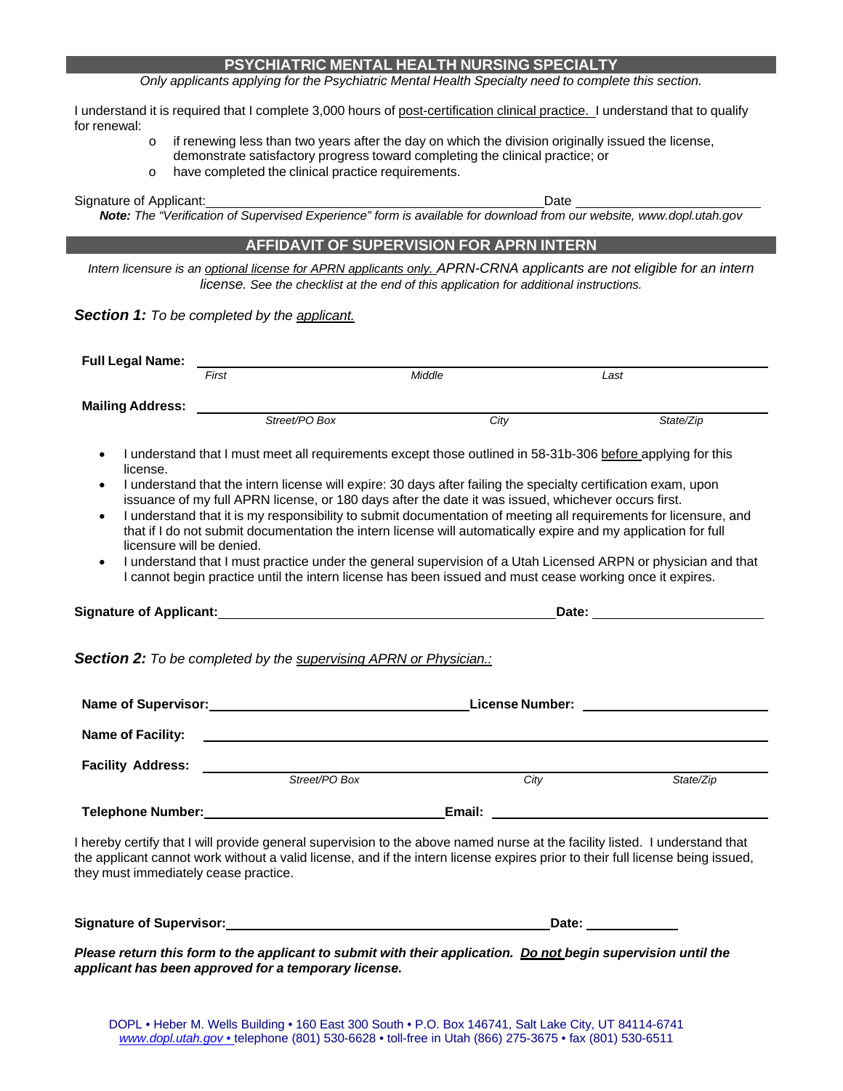## **PSYCHIATRIC MENTAL HEALTH NURSING SPECIALTY**

*Only applicants applying for the Psychiatric Mental Health Specialty need to complete this section.*

I understand it is required that I complete 3,000 hours of post-certification clinical practice. I understand that to qualify for renewal:

- $\circ$  if renewing less than two years after the day on which the division originally issued the license, demonstrate satisfactory progress toward completing the clinical practice; or
- o have completed the clinical practice requirements.

Signature of Applicant: **Date** and **Date** and **Date** and **Date** and **Date** and **Date** and **Date** and **Date** and **Date** 

*Note: The "Verification of Supervised Experience" form is available for download from our website, www.dopl.utah.gov*

#### **AFFIDAVIT OF SUPERVISION FOR APRN INTERN**

*Intern licensure is an optional license for APRN applicants only. APRN-CRNA applicants are not eligible for an intern license. See the checklist at the end of this application for additional instructions.*

*Section 1: To be completed by the applicant.*

| <b>Full Legal Name:</b>                                                                                                                                                                                                                                                                                                                                                                                                                                                                                                                                                                                                                                                                                                                                                                                                                                       |                                                                         |                        |                                                                                                                                                                                                                                |  |  |  |  |
|---------------------------------------------------------------------------------------------------------------------------------------------------------------------------------------------------------------------------------------------------------------------------------------------------------------------------------------------------------------------------------------------------------------------------------------------------------------------------------------------------------------------------------------------------------------------------------------------------------------------------------------------------------------------------------------------------------------------------------------------------------------------------------------------------------------------------------------------------------------|-------------------------------------------------------------------------|------------------------|--------------------------------------------------------------------------------------------------------------------------------------------------------------------------------------------------------------------------------|--|--|--|--|
|                                                                                                                                                                                                                                                                                                                                                                                                                                                                                                                                                                                                                                                                                                                                                                                                                                                               | First                                                                   | Middle                 | Last                                                                                                                                                                                                                           |  |  |  |  |
| <b>Mailing Address:</b>                                                                                                                                                                                                                                                                                                                                                                                                                                                                                                                                                                                                                                                                                                                                                                                                                                       |                                                                         |                        |                                                                                                                                                                                                                                |  |  |  |  |
|                                                                                                                                                                                                                                                                                                                                                                                                                                                                                                                                                                                                                                                                                                                                                                                                                                                               | Street/PO Box                                                           | City                   | State/Zip                                                                                                                                                                                                                      |  |  |  |  |
| I understand that I must meet all requirements except those outlined in 58-31b-306 before applying for this<br>license.<br>I understand that the intern license will expire: 30 days after failing the specialty certification exam, upon<br>issuance of my full APRN license, or 180 days after the date it was issued, whichever occurs first.<br>I understand that it is my responsibility to submit documentation of meeting all requirements for licensure, and<br>$\bullet$<br>that if I do not submit documentation the intern license will automatically expire and my application for full<br>licensure will be denied.<br>I understand that I must practice under the general supervision of a Utah Licensed ARPN or physician and that<br>I cannot begin practice until the intern license has been issued and must cease working once it expires. |                                                                         |                        |                                                                                                                                                                                                                                |  |  |  |  |
|                                                                                                                                                                                                                                                                                                                                                                                                                                                                                                                                                                                                                                                                                                                                                                                                                                                               | Signature of Applicant: Manual According to the Signature of Applicant: |                        | Date: the contract of the contract of the contract of the contract of the contract of the contract of the contract of the contract of the contract of the contract of the contract of the contract of the contract of the cont |  |  |  |  |
| <b>Section 2:</b> To be completed by the supervising APRN or Physician.:                                                                                                                                                                                                                                                                                                                                                                                                                                                                                                                                                                                                                                                                                                                                                                                      |                                                                         |                        |                                                                                                                                                                                                                                |  |  |  |  |
| Name of Supervisor:                                                                                                                                                                                                                                                                                                                                                                                                                                                                                                                                                                                                                                                                                                                                                                                                                                           |                                                                         | <b>License Number:</b> |                                                                                                                                                                                                                                |  |  |  |  |
| <b>Name of Facility:</b>                                                                                                                                                                                                                                                                                                                                                                                                                                                                                                                                                                                                                                                                                                                                                                                                                                      |                                                                         |                        |                                                                                                                                                                                                                                |  |  |  |  |
| <b>Facility Address:</b>                                                                                                                                                                                                                                                                                                                                                                                                                                                                                                                                                                                                                                                                                                                                                                                                                                      |                                                                         |                        |                                                                                                                                                                                                                                |  |  |  |  |

*Street/PO Box City State/Zip* **Telephone Number: Email:** 

I hereby certify that I will provide general supervision to the above named nurse at the facility listed. I understand that the applicant cannot work without a valid license, and if the intern license expires prior to their full license being issued, they must immediately cease practice.

**Signature of Supervisor: Date:** 

*Please return this form to the applicant to submit with their application. Do not begin supervision until the applicant has been approved for a temporary license.*